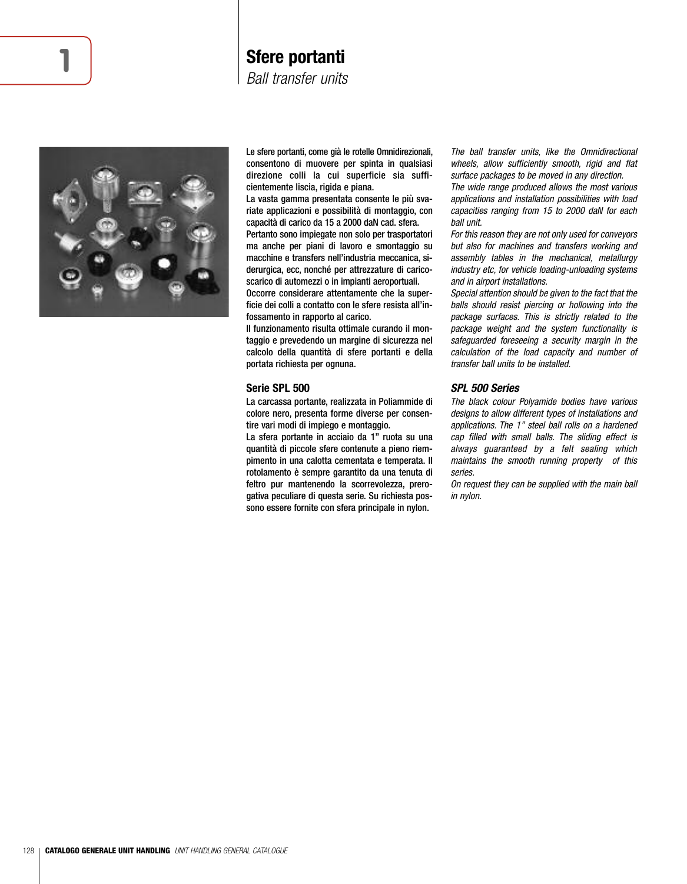## **1 Sfere portanti**

*Ball transfer units*



Le sfere portanti, come già le rotelle Omnidirezionali, consentono di muovere per spinta in qualsiasi direzione colli la cui superficie sia sufficientemente liscia, rigida e piana.

La vasta gamma presentata consente le più svariate applicazioni e possibilità di montaggio, con capacità di carico da 15 a 2000 daN cad. sfera. Pertanto sono impiegate non solo per trasportatori ma anche per piani di lavoro e smontaggio su macchine e transfers nell'industria meccanica, si-

derurgica, ecc, nonché per attrezzature di caricoscarico di automezzi o in impianti aeroportuali. Occorre considerare attentamente che la super-

ficie dei colli a contatto con le sfere resista all'infossamento in rapporto al carico.

Il funzionamento risulta ottimale curando il montaggio e prevedendo un margine di sicurezza nel calcolo della quantità di sfere portanti e della portata richiesta per ognuna.

#### **Serie SPL 500**

La carcassa portante, realizzata in Poliammide di colore nero, presenta forme diverse per consentire vari modi di impiego e montaggio.

La sfera portante in acciaio da 1" ruota su una quantità di piccole sfere contenute a pieno riempimento in una calotta cementata e temperata. Il rotolamento è sempre garantito da una tenuta di feltro pur mantenendo la scorrevolezza, prerogativa peculiare di questa serie. Su richiesta possono essere fornite con sfera principale in nylon.

The ball transfer units, like the Omnidirectional wheels, allow sufficiently smooth, rigid and flat surface packages to be moved in any direction.

The wide range produced allows the most various applications and installation possibilities with load capacities ranging from 15 to 2000 daN for each ball unit.

For this reason they are not only used for conveyors but also for machines and transfers working and assembly tables in the mechanical, metallurgy industry etc, for vehicle loading-unloading systems and in airport installations.

Special attention should be given to the fact that the balls should resist piercing or hollowing into the package surfaces. This is strictly related to the package weight and the system functionality is safeguarded foreseeing a security margin in the calculation of the load capacity and number of transfer ball units to be installed.

#### *SPL 500 Series*

The black colour Polyamide bodies have various designs to allow different types of installations and applications. The 1" steel ball rolls on a hardened cap filled with small balls. The sliding effect is always guaranteed by a felt sealing which maintains the smooth running property of this series.

On request they can be supplied with the main ball in nylon.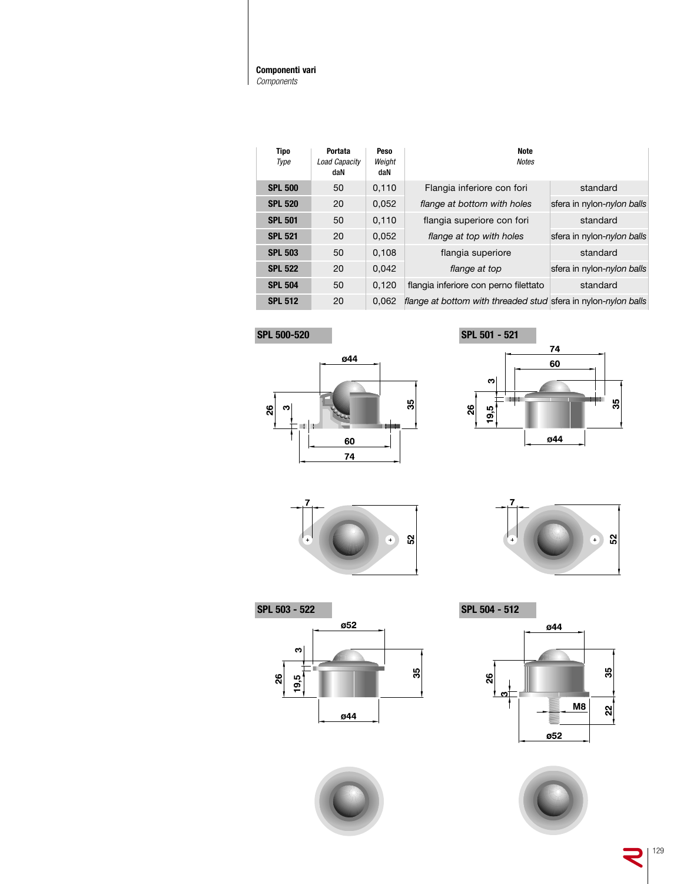#### **Componenti vari** *Components*

| <b>Tipo</b><br>Type | Portata<br>Load Capacity<br>daN | Peso<br>Weight<br>daN | Note<br><b>Notes</b>                                           |                            |
|---------------------|---------------------------------|-----------------------|----------------------------------------------------------------|----------------------------|
| <b>SPL 500</b>      | 50                              | 0,110                 | Flangia inferiore con fori                                     | standard                   |
| <b>SPL 520</b>      | 20                              | 0,052                 | flange at bottom with holes                                    | sfera in nylon-nylon balls |
| <b>SPL 501</b>      | 50                              | 0.110                 | flangia superiore con fori                                     | standard                   |
| <b>SPL 521</b>      | 20                              | 0,052                 | flange at top with holes                                       | sfera in nylon-nylon balls |
| <b>SPL 503</b>      | 50                              | 0,108                 | flangia superiore                                              | standard                   |
| <b>SPL 522</b>      | 20                              | 0,042                 | flange at top                                                  | sfera in nylon-nylon balls |
| <b>SPL 504</b>      | 50                              | 0.120                 | flangia inferiore con perno filettato                          | standard                   |
| <b>SPL 512</b>      | 20                              | 0.062                 | flange at bottom with threaded stud sfera in nylon-nylon balls |                            |

**SPL 500-520 SPL 501 - 521**

 $| \mathbf{e}$ 

n. Ī

26









60  $\overline{74}$ 



**SPL 503 - 522 SPL 504 - 512**ø52  $\mathbf{c}$  $35$  $19,5$ <u>86</u> ø44







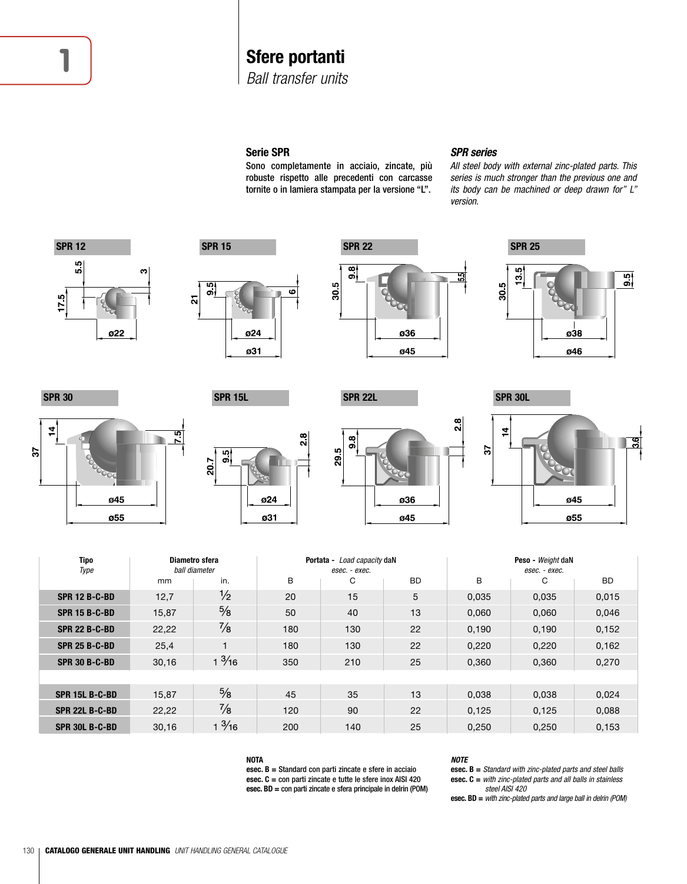# **1 Sfere portanti**

*Ball transfer units*

## **Serie SPR**

Sono completamente in acciaio, zincate, più robuste rispetto alle precedenti con carcasse tornite o in lamiera stampata per la versione "L".

## *SPR series*

All steel body with external zinc-plated parts. This series is much stronger than the previous one and its body can be machined or deep drawn for" L" version.



| Tipo<br>Diametro sfera |       |                 |     | Portata - Load capacity daN |     | Peso - Weight daN |               |       |  |  |  |
|------------------------|-------|-----------------|-----|-----------------------------|-----|-------------------|---------------|-------|--|--|--|
| Type                   |       | ball diameter   |     | esec. - exec.               |     |                   | esec. - exec. |       |  |  |  |
|                        | mm    | in.             | B   | C                           | BD. | В                 | C             | BD.   |  |  |  |
| <b>SPR 12 B-C-BD</b>   | 12,7  | $\frac{1}{2}$   | 20  | 15                          | 5   | 0,035             | 0,035         | 0,015 |  |  |  |
| <b>SPR 15 B-C-BD</b>   | 15,87 | $\frac{5}{8}$   | 50  | 40                          | 13  | 0,060             | 0,060         | 0,046 |  |  |  |
| <b>SPR 22 B-C-BD</b>   | 22,22 | $\frac{7}{8}$   | 180 | 130                         | 22  | 0,190             | 0,190         | 0,152 |  |  |  |
| <b>SPR 25 B-C-BD</b>   | 25,4  |                 | 180 | 130                         | 22  | 0,220             | 0,220         | 0,162 |  |  |  |
| <b>SPR 30 B-C-BD</b>   | 30,16 | $1\frac{3}{16}$ | 350 | 210                         | 25  | 0,360             | 0,360         | 0,270 |  |  |  |
|                        |       |                 |     |                             |     |                   |               |       |  |  |  |
| <b>SPR 15L B-C-BD</b>  | 15,87 | $\frac{5}{8}$   | 45  | 35                          | 13  | 0,038             | 0,038         | 0,024 |  |  |  |
| <b>SPR 22L B-C-BD</b>  | 22,22 | $\frac{7}{8}$   | 120 | 90                          | 22  | 0,125             | 0,125         | 0,088 |  |  |  |
| SPR 30L B-C-BD         | 30,16 | $1\frac{3}{16}$ | 200 | 140                         | 25  | 0.250             | 0.250         | 0,153 |  |  |  |

**NOTA**

**esec. B =** Standard con parti zincate e sfere in acciaio **esec. C =** con parti zincate e tutte le sfere inox AISI 420 **esec. BD =** con parti zincate e sfera principale in delrin (POM)

#### *NOTE*

**esec. B =** Standard with zinc-plated parts and steel balls **esec. C =** with zinc-plated parts and all balls in stainless steel AISI 420

**esec. BD =** with zinc-plated parts and large ball in delrin (POM)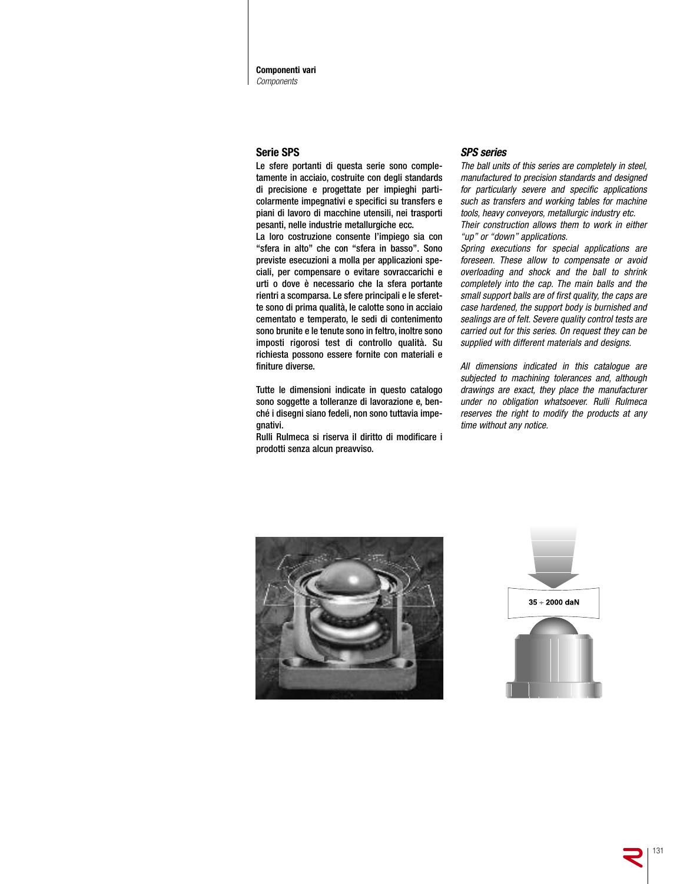**Componenti vari** *Components*

## **Serie SPS**

Le sfere portanti di questa serie sono completamente in acciaio, costruite con degli standards di precisione e progettate per impieghi particolarmente impegnativi e specifici su transfers e piani di lavoro di macchine utensili, nei trasporti pesanti, nelle industrie metallurgiche ecc.

La loro costruzione consente l'impiego sia con "sfera in alto" che con "sfera in basso". Sono previste esecuzioni a molla per applicazioni speciali, per compensare o evitare sovraccarichi e urti o dove è necessario che la sfera portante rientri a scomparsa. Le sfere principali e le sferette sono di prima qualità, le calotte sono in acciaio cementato e temperato, le sedi di contenimento sono brunite e le tenute sono in feltro, inoltre sono imposti rigorosi test di controllo qualità. Su richiesta possono essere fornite con materiali e finiture diverse.

Tutte le dimensioni indicate in questo catalogo sono soggette a tolleranze di lavorazione e, benché i disegni siano fedeli, non sono tuttavia impegnativi.

Rulli Rulmeca si riserva il diritto di modificare i prodotti senza alcun preavviso.

## *SPS series*

The ball units of this series are completely in steel, manufactured to precision standards and designed for particularly severe and specific applications such as transfers and working tables for machine tools, heavy conveyors, metallurgic industry etc.

Their construction allows them to work in either "up" or "down" applications.

Spring executions for special applications are foreseen. These allow to compensate or avoid overloading and shock and the ball to shrink completely into the cap. The main balls and the small support balls are of first quality, the caps are case hardened, the support body is burnished and sealings are of felt. Severe quality control tests are carried out for this series. On request they can be supplied with different materials and designs.

All dimensions indicated in this catalogue are subjected to machining tolerances and, although drawings are exact, they place the manufacturer under no obligation whatsoever. Rulli Rulmeca reserves the right to modify the products at any time without any notice.



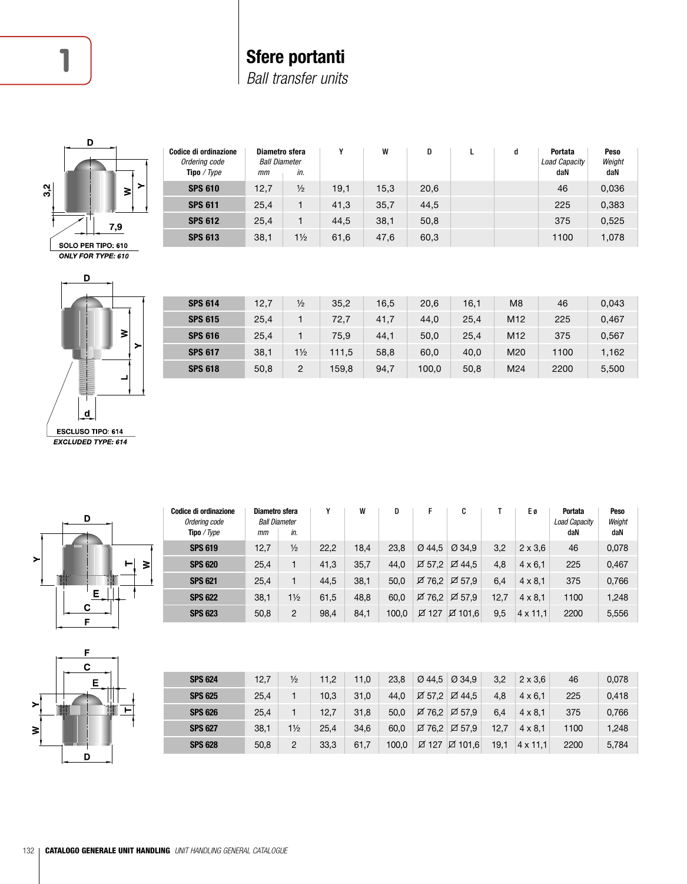# **1 Sfere portanti**

*Ball transfer units*



| Codice di ordinazione<br>Ordering code<br>Tipo / Type | Diametro sfera<br><b>Ball Diameter</b><br>mm | in.            | v    | W    | D    | d | Portata<br>Load Capacity<br>daN | <b>Peso</b><br>Weight<br>daN |
|-------------------------------------------------------|----------------------------------------------|----------------|------|------|------|---|---------------------------------|------------------------------|
| <b>SPS 610</b>                                        | 12,7                                         | $\frac{1}{2}$  | 19,1 | 15,3 | 20,6 |   | 46                              | 0,036                        |
| <b>SPS 611</b>                                        | 25,4                                         |                | 41,3 | 35,7 | 44,5 |   | 225                             | 0,383                        |
| <b>SPS 612</b>                                        | 25,4                                         |                | 44.5 | 38,1 | 50.8 |   | 375                             | 0,525                        |
| <b>SPS 613</b>                                        | 38,1                                         | $1\frac{1}{2}$ | 61,6 | 47,6 | 60,3 |   | 1100                            | 1,078                        |



| <b>SPS 614</b> | 12,7 | $\frac{1}{2}$  | 35,2  | 16,5 | 20,6  | 16,1 | M <sub>8</sub>  | 46   | 0,043 |
|----------------|------|----------------|-------|------|-------|------|-----------------|------|-------|
| <b>SPS 615</b> | 25,4 |                | 72,7  | 41,7 | 44,0  | 25,4 | M <sub>12</sub> | 225  | 0,467 |
| <b>SPS 616</b> | 25,4 |                | 75.9  | 44,1 | 50,0  | 25,4 | M <sub>12</sub> | 375  | 0,567 |
| <b>SPS 617</b> | 38.1 | $1\frac{1}{2}$ | 111,5 | 58,8 | 60,0  | 40.0 | M20             | 1100 | 1,162 |
| <b>SPS 618</b> | 50,8 | 2              | 159.8 | 94,7 | 100,0 | 50.8 | M24             | 2200 | 5,500 |
|                |      |                |       |      |       |      |                 |      |       |









| <b>SPS 624</b> | 12,7 | $\frac{1}{2}$  | 11.2 | 11,0 | 23,8  |                  | $\varnothing$ 44.5 $\varnothing$ 34.9 | 3,2  | $2 \times 3.6$  | 46   | 0,078 |
|----------------|------|----------------|------|------|-------|------------------|---------------------------------------|------|-----------------|------|-------|
| <b>SPS 625</b> | 25,4 |                | 10,3 | 31,0 | 44.0  | $\boxtimes$ 57.2 | <b>Ø</b> 44,5                         | 4,8  | $4 \times 6.1$  | 225  | 0,418 |
| <b>SPS 626</b> | 25,4 |                | 12.7 | 31,8 | 50,0  | ☑ 76.2           | ☑ 57.9                                | 6,4  | $4 \times 8.1$  | 375  | 0,766 |
| <b>SPS 627</b> | 38,1 | $1\frac{1}{2}$ | 25,4 | 34,6 | 60,0  |                  | ☑ 76.2 Ø 57.9                         | 12,7 | $4 \times 8.1$  | 1100 | 1,248 |
| <b>SPS 628</b> | 50,8 | 2              | 33,3 | 61,7 | 100.0 | ☑ 127            | DE 101.6                              | 19,1 | $4 \times 11.1$ | 2200 | 5,784 |